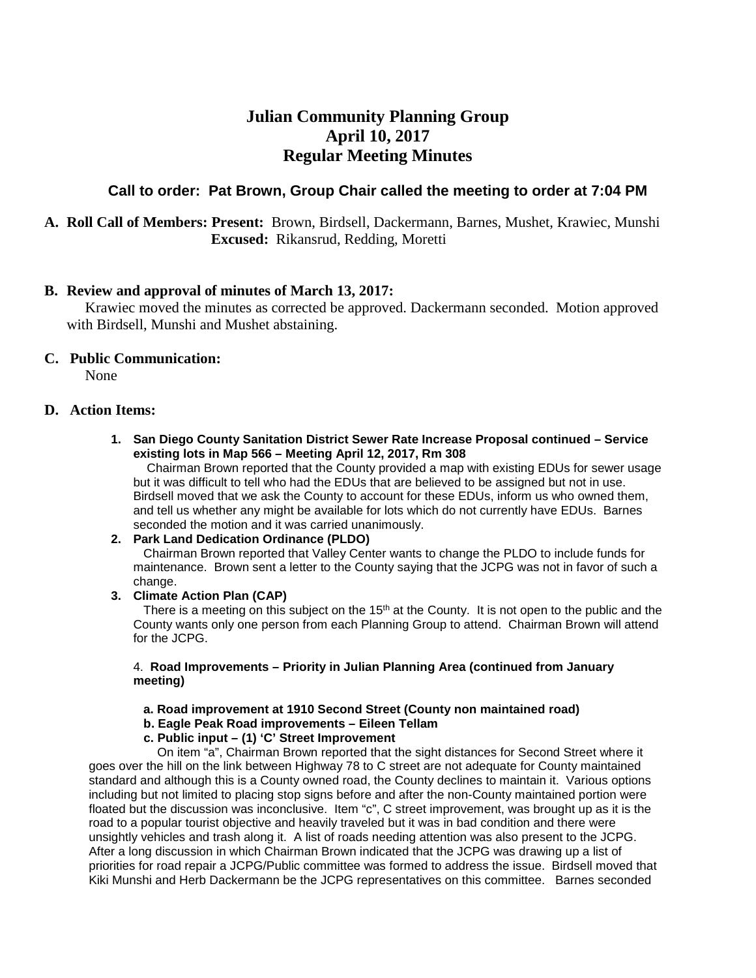# **Julian Community Planning Group April 10, 2017 Regular Meeting Minutes**

# **Call to order: Pat Brown, Group Chair called the meeting to order at 7:04 PM**

# **A. Roll Call of Members: Present:** Brown, Birdsell, Dackermann, Barnes, Mushet, Krawiec, Munshi **Excused:** Rikansrud, Redding, Moretti

# **B. Review and approval of minutes of March 13, 2017:**

 Krawiec moved the minutes as corrected be approved. Dackermann seconded. Motion approved with Birdsell, Munshi and Mushet abstaining.

# **C. Public Communication:**

None

# **D. Action Items:**

## **1. San Diego County Sanitation District Sewer Rate Increase Proposal continued – Service existing lots in Map 566 – Meeting April 12, 2017, Rm 308**

 Chairman Brown reported that the County provided a map with existing EDUs for sewer usage but it was difficult to tell who had the EDUs that are believed to be assigned but not in use. Birdsell moved that we ask the County to account for these EDUs, inform us who owned them, and tell us whether any might be available for lots which do not currently have EDUs. Barnes seconded the motion and it was carried unanimously.

# **2. Park Land Dedication Ordinance (PLDO)**

 Chairman Brown reported that Valley Center wants to change the PLDO to include funds for maintenance. Brown sent a letter to the County saying that the JCPG was not in favor of such a change.

# **3. Climate Action Plan (CAP)**

There is a meeting on this subject on the  $15<sup>th</sup>$  at the County. It is not open to the public and the County wants only one person from each Planning Group to attend. Chairman Brown will attend for the JCPG.

## 4. **Road Improvements – Priority in Julian Planning Area (continued from January meeting)**

# **a. Road improvement at 1910 Second Street (County non maintained road)**

 **b. Eagle Peak Road improvements – Eileen Tellam** 

# **c. Public input – (1) 'C' Street Improvement**

 On item "a", Chairman Brown reported that the sight distances for Second Street where it goes over the hill on the link between Highway 78 to C street are not adequate for County maintained standard and although this is a County owned road, the County declines to maintain it. Various options including but not limited to placing stop signs before and after the non-County maintained portion were floated but the discussion was inconclusive. Item "c", C street improvement, was brought up as it is the road to a popular tourist objective and heavily traveled but it was in bad condition and there were unsightly vehicles and trash along it. A list of roads needing attention was also present to the JCPG. After a long discussion in which Chairman Brown indicated that the JCPG was drawing up a list of priorities for road repair a JCPG/Public committee was formed to address the issue. Birdsell moved that Kiki Munshi and Herb Dackermann be the JCPG representatives on this committee. Barnes seconded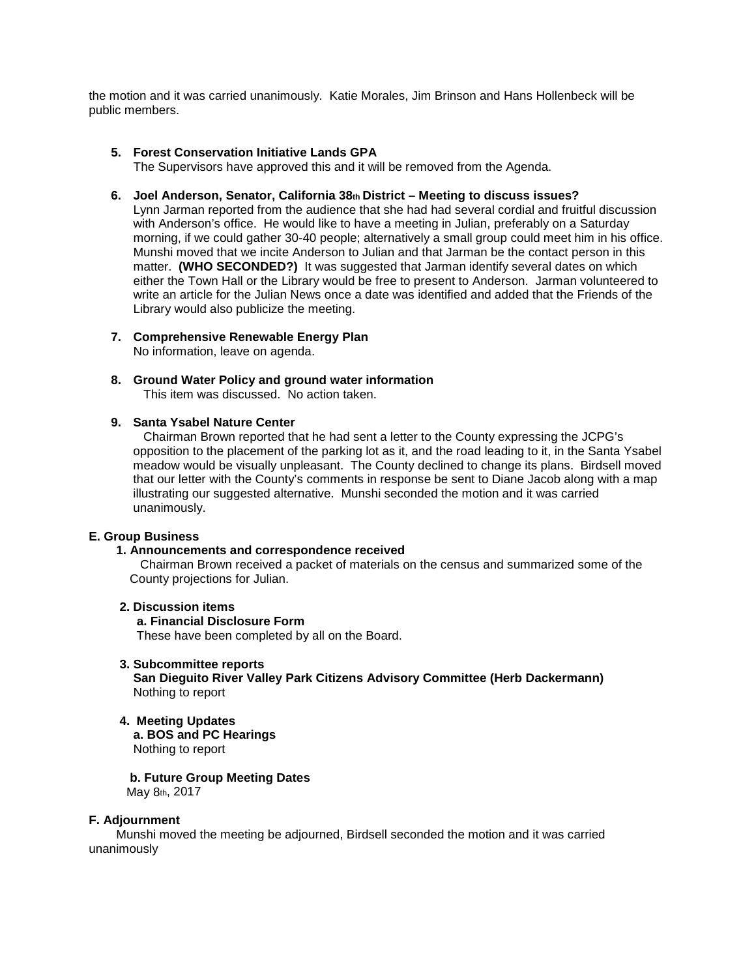the motion and it was carried unanimously. Katie Morales, Jim Brinson and Hans Hollenbeck will be public members.

## **5. Forest Conservation Initiative Lands GPA**

The Supervisors have approved this and it will be removed from the Agenda.

#### **6. Joel Anderson, Senator, California 38th District – Meeting to discuss issues?**

Lynn Jarman reported from the audience that she had had several cordial and fruitful discussion with Anderson's office. He would like to have a meeting in Julian, preferably on a Saturday morning, if we could gather 30-40 people; alternatively a small group could meet him in his office. Munshi moved that we incite Anderson to Julian and that Jarman be the contact person in this matter. **(WHO SECONDED?)** It was suggested that Jarman identify several dates on which either the Town Hall or the Library would be free to present to Anderson. Jarman volunteered to write an article for the Julian News once a date was identified and added that the Friends of the Library would also publicize the meeting.

## **7. Comprehensive Renewable Energy Plan**

No information, leave on agenda.

# **8. Ground Water Policy and ground water information**

This item was discussed. No action taken.

# **9. Santa Ysabel Nature Center**

 Chairman Brown reported that he had sent a letter to the County expressing the JCPG's opposition to the placement of the parking lot as it, and the road leading to it, in the Santa Ysabel meadow would be visually unpleasant. The County declined to change its plans. Birdsell moved that our letter with the County's comments in response be sent to Diane Jacob along with a map illustrating our suggested alternative. Munshi seconded the motion and it was carried unanimously.

#### **E. Group Business**

#### **1. Announcements and correspondence received**

 Chairman Brown received a packet of materials on the census and summarized some of the County projections for Julian.

#### **2. Discussion items**

#### **a. Financial Disclosure Form**

These have been completed by all on the Board.

#### **3. Subcommittee reports**

 **San Dieguito River Valley Park Citizens Advisory Committee (Herb Dackermann)**  Nothing to report

#### **4. Meeting Updates a. BOS and PC Hearings**

Nothing to report

#### **b. Future Group Meeting Dates**

May 8th, 2017

#### **F. Adjournment**

Munshi moved the meeting be adjourned, Birdsell seconded the motion and it was carried unanimously